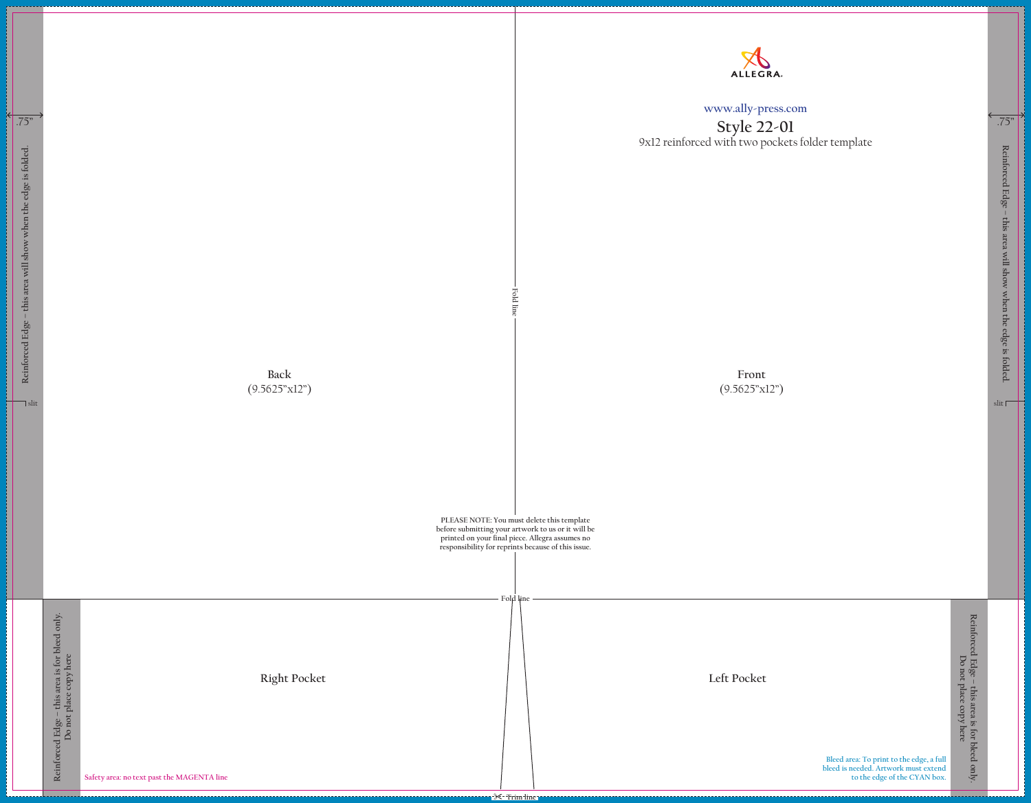**Front** (9.5625"x12")

**Back** (9.5625"x12") **Fold line**

**PLEASE NOTE: You must delete this template** 

**before submitting your artwork to us or it will be printed on your final piece. Allegra assumes no responsibility for reprints because of this issue.**

> **Bleed area: To print to the edge, a full bleed is needed. Artwork must extend to the edge of the CYAN box.**

| i⊬<br>¦ | $\rightarrow$<br>.75"                                                                          |                                                                          |                                            |
|---------|------------------------------------------------------------------------------------------------|--------------------------------------------------------------------------|--------------------------------------------|
|         | Reinforced Edge - this area will show when the edge is folded.<br>$\overline{\mathsf{l}}$ slit |                                                                          |                                            |
|         |                                                                                                | Reinforced Edge - this area is for bleed only.<br>Do not place copy here | Safety area: no text past the MAGENTA line |

## **www.ally-press.com**

## **Style 22-01** 9x12 reinforced with two pockets folder template

**Fold line**



**Right Pocket Left Pocket**

**Reinforced Edge – this area will show when the edge is folded.**

Reinforced Edge - this area will show when the edge is folded.

slit<sub> $\Box$ </sub>

**Reinforced Edge – this area is for bleed only.** Reinforced Edge – this area is for bleed only.<br>Do not place copy here **Do not place copy here**

.75"